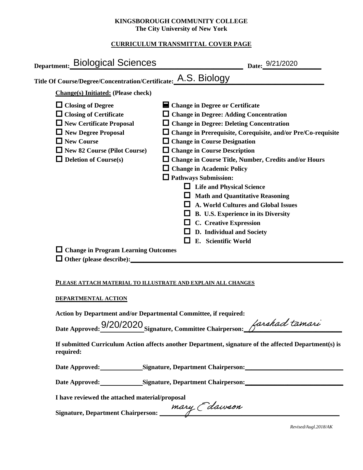## **KINGSBOROUGH COMMUNITY COLLEGE The City University of New York**

## **CURRICULUM TRANSMITTAL COVER PAGE**

| Department: Biological Sciences                                                                                                                                                                                                                 | Date: 9/21/2020                                                                                                                                                                                                                                                                                                                                                                                                                                                                                                                                                                                                                                                                             |
|-------------------------------------------------------------------------------------------------------------------------------------------------------------------------------------------------------------------------------------------------|---------------------------------------------------------------------------------------------------------------------------------------------------------------------------------------------------------------------------------------------------------------------------------------------------------------------------------------------------------------------------------------------------------------------------------------------------------------------------------------------------------------------------------------------------------------------------------------------------------------------------------------------------------------------------------------------|
| Title Of Course/Degree/Concentration/Certificate: A.S. Biology                                                                                                                                                                                  |                                                                                                                                                                                                                                                                                                                                                                                                                                                                                                                                                                                                                                                                                             |
| <b>Change(s)</b> Initiated: (Please check)                                                                                                                                                                                                      |                                                                                                                                                                                                                                                                                                                                                                                                                                                                                                                                                                                                                                                                                             |
| $\Box$ Closing of Degree<br>$\Box$ Closing of Certificate<br>$\Box$ New Certificate Proposal<br>New Degree Proposal<br>New Course<br>New 82 Course (Pilot Course)<br>$\Box$ Deletion of Course(s)<br>$\Box$ Change in Program Learning Outcomes | ■ Change in Degree or Certificate<br>$\Box$ Change in Degree: Adding Concentration<br>$\Box$ Change in Degree: Deleting Concentration<br>$\Box$ Change in Prerequisite, Corequisite, and/or Pre/Co-requisite<br>$\Box$ Change in Course Designation<br>$\Box$ Change in Course Description<br>$\Box$ Change in Course Title, Number, Credits and/or Hours<br>$\Box$ Change in Academic Policy<br>$\Box$ Pathways Submission:<br>$\Box$ Life and Physical Science<br>$\Box$ Math and Quantitative Reasoning<br>$\Box$ A. World Cultures and Global Issues<br>$\Box$ B. U.S. Experience in its Diversity<br>$\Box$ C. Creative Expression<br>D. Individual and Society<br>E. Scientific World |
| PLEASE ATTACH MATERIAL TO ILLUSTRATE AND EXPLAIN ALL CHANGES                                                                                                                                                                                    |                                                                                                                                                                                                                                                                                                                                                                                                                                                                                                                                                                                                                                                                                             |
| DEPARTMENTAL ACTION                                                                                                                                                                                                                             |                                                                                                                                                                                                                                                                                                                                                                                                                                                                                                                                                                                                                                                                                             |
| Action by Department and/or Departmental Committee, if required:                                                                                                                                                                                | Date Approved: 9/20/2020 Signature Committee Chairperson: <i>Larshad tamare</i>                                                                                                                                                                                                                                                                                                                                                                                                                                                                                                                                                                                                             |

**If submitted Curriculum Action affects another Department, signature of the affected Department(s) is required:**

Date Approved: Signature, Department Chairperson: **Signature Signature Chairperson:** 

Date Approved: Signature, Department Chairperson: Network and Solven and Solven and Solven and Solven and Solven and Solven and Solven and Solven and Solven and Solven and Solven and Solven and Solven and Solven and Solven

**I have reviewed the attached material/proposal**

**Signature, Department Chairperson: \_\_\_\_\_\_\_\_\_\_\_\_\_\_\_\_\_\_\_\_\_\_\_\_\_\_\_\_\_\_\_\_\_\_\_\_\_\_\_\_\_\_\_\_\_\_\_\_\_\_\_\_\_\_\_**

*Revised/Augl.2018/AK*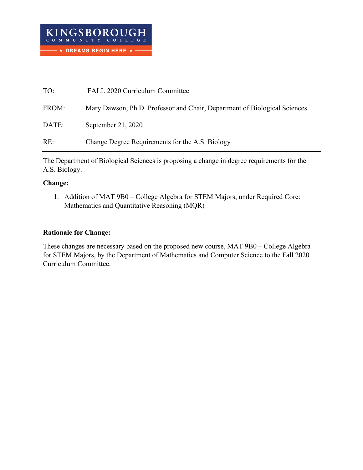| TO:   | FALL 2020 Curriculum Committee                                            |
|-------|---------------------------------------------------------------------------|
| FROM: | Mary Dawson, Ph.D. Professor and Chair, Department of Biological Sciences |
| DATE: | September 21, 2020                                                        |
| RE:   | Change Degree Requirements for the A.S. Biology                           |

The Department of Biological Sciences is proposing a change in degree requirements for the A.S. Biology.

## **Change:**

1. Addition of MAT 9B0 – College Algebra for STEM Majors, under Required Core: Mathematics and Quantitative Reasoning (MQR)

## **Rationale for Change:**

These changes are necessary based on the proposed new course, MAT 9B0 – College Algebra for STEM Majors, by the Department of Mathematics and Computer Science to the Fall 2020 Curriculum Committee.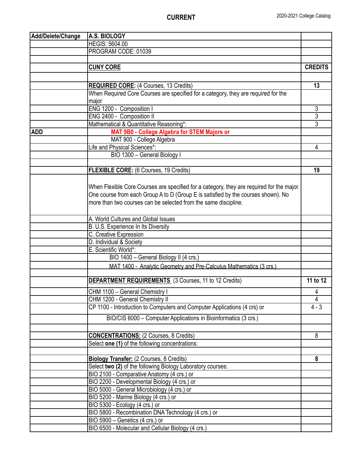| Add/Delete/Change | A.S. BIOLOGY                                                                              |                |
|-------------------|-------------------------------------------------------------------------------------------|----------------|
|                   | <b>HEGIS: 5604.00</b>                                                                     |                |
|                   | PROGRAM CODE: 01039                                                                       |                |
|                   |                                                                                           |                |
|                   | <b>CUNY CORE</b>                                                                          | <b>CREDITS</b> |
|                   |                                                                                           |                |
|                   | <b>REQUIRED CORE: (4 Courses, 13 Credits)</b>                                             | 13             |
|                   | When Required Core Courses are specified for a category, they are required for the        |                |
|                   | major                                                                                     |                |
|                   | ENG 1200 - Composition I                                                                  | $\overline{3}$ |
|                   | ENG 2400 - Composition II                                                                 | $\overline{3}$ |
|                   | Mathematical & Quantitative Reasoning*:                                                   | $\overline{3}$ |
| <b>ADD</b>        | MAT 9B0 - College Algebra for STEM Majors or                                              |                |
|                   | MAT 900 - College Algebra                                                                 |                |
|                   | Life and Physical Sciences*:                                                              | 4              |
|                   | BIO 1300 - General Biology I                                                              |                |
|                   |                                                                                           |                |
|                   | <b>FLEXIBLE CORE:</b> (6 Courses, 19 Credits)                                             | 19             |
|                   |                                                                                           |                |
|                   | When Flexible Core Courses are specified for a category, they are required for the major. |                |
|                   | One course from each Group A to D (Group E is satisfied by the courses shown). No         |                |
|                   | more than two courses can be selected from the same discipline.                           |                |
|                   |                                                                                           |                |
|                   | A. World Cultures and Global Issues                                                       |                |
|                   | B. U.S. Experience In Its Diversity                                                       |                |
|                   | C. Creative Expression                                                                    |                |
|                   | D. Individual & Society                                                                   |                |
|                   | E. Scientific World*:                                                                     |                |
|                   | BIO 1400 - General Biology II (4 crs.)                                                    |                |
|                   | MAT 1400 - Analytic Geometry and Pre-Calculus Mathematics (3 crs.)                        |                |
|                   |                                                                                           |                |
|                   | <b>DEPARTMENT REQUIREMENTS</b> (3 Courses, 11 to 12 Credits)                              | 11 to 12       |
|                   | CHM 1100 - General Chemistry I                                                            | 4              |
|                   | CHM 1200 - General Chemistry II                                                           | 4              |
|                   | CP 1100 - Introduction to Computers and Computer Applications (4 crs) or                  | $4 - 3$        |
|                   | BIO/CIS 6000 - Computer Applications in Bioinformatics (3 crs.)                           |                |
|                   |                                                                                           |                |
|                   | <b>CONCENTRATIONS: (2 Courses, 8 Credits)</b>                                             | 8              |
|                   | Select one (1) of the following concentrations:                                           |                |
|                   |                                                                                           |                |
|                   | <b>Biology Transfer:</b> (2 Courses, 8 Credits)                                           | 8              |
|                   | Select two (2) of the following Biology Laboratory courses:                               |                |
|                   | BIO 2100 - Comparative Anatomy (4 crs.) or                                                |                |
|                   | BIO 2200 - Developmental Biology (4 crs.) or                                              |                |
|                   | BIO 5000 - General Microbiology (4 crs.) or                                               |                |
|                   | BIO 5200 - Marine Biology (4 crs.) or                                                     |                |
|                   | BIO 5300 - Ecology (4 crs.) or                                                            |                |
|                   | BIO 5800 - Recombination DNA Technology (4 crs.) or                                       |                |
|                   | BIO 5900 - Genetics (4 crs.) or                                                           |                |
|                   | BIO 6500 - Molecular and Cellular Biology (4 crs.)                                        |                |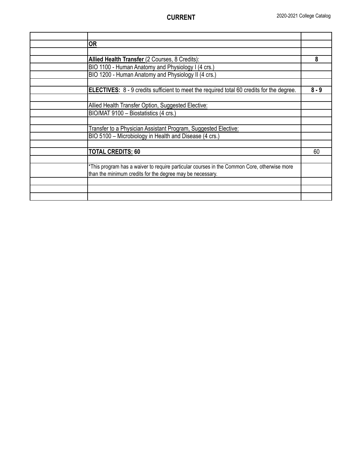| <b>OR</b>                                                                                        |         |
|--------------------------------------------------------------------------------------------------|---------|
|                                                                                                  |         |
| Allied Health Transfer (2 Courses, 8 Credits):                                                   | 8       |
| BIO 1100 - Human Anatomy and Physiology I (4 crs.)                                               |         |
| BIO 1200 - Human Anatomy and Physiology II (4 crs.)                                              |         |
|                                                                                                  |         |
| <b>ELECTIVES:</b> 8 - 9 credits sufficient to meet the required total 60 credits for the degree. | $8 - 9$ |
|                                                                                                  |         |
| Allied Health Transfer Option, Suggested Elective:                                               |         |
| BIO/MAT 9100 - Biostatistics (4 crs.)                                                            |         |
|                                                                                                  |         |
| Transfer to a Physician Assistant Program, Suggested Elective:                                   |         |
| BIO 5100 - Microbiology in Health and Disease (4 crs.)                                           |         |
|                                                                                                  |         |
| <b>TOTAL CREDITS: 60</b>                                                                         | 60      |
|                                                                                                  |         |
| *This program has a waiver to require particular courses in the Common Core, otherwise more      |         |
| than the minimum credits for the degree may be necessary.                                        |         |
|                                                                                                  |         |
|                                                                                                  |         |
|                                                                                                  |         |
|                                                                                                  |         |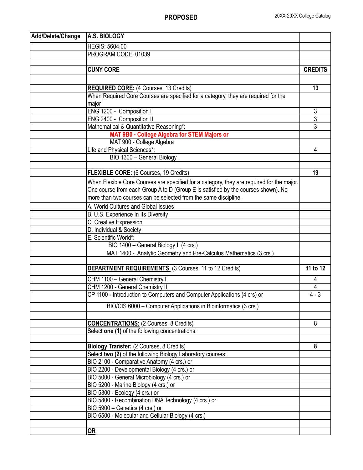| Add/Delete/Change | A.S. BIOLOGY                                                                              |                |
|-------------------|-------------------------------------------------------------------------------------------|----------------|
|                   | <b>HEGIS: 5604.00</b>                                                                     |                |
|                   | PROGRAM CODE: 01039                                                                       |                |
|                   |                                                                                           |                |
|                   | <b>CUNY CORE</b>                                                                          | <b>CREDITS</b> |
|                   |                                                                                           |                |
|                   | <b>REQUIRED CORE:</b> (4 Courses, 13 Credits)                                             | 13             |
|                   | When Required Core Courses are specified for a category, they are required for the        |                |
|                   | major                                                                                     |                |
|                   | ENG 1200 - Composition I                                                                  | 3              |
|                   | ENG 2400 - Composition II                                                                 | $\overline{3}$ |
|                   | Mathematical & Quantitative Reasoning*:                                                   | $\overline{3}$ |
|                   | MAT 9B0 - College Algebra for STEM Majors or                                              |                |
|                   | MAT 900 - College Algebra                                                                 |                |
|                   | Life and Physical Sciences*:                                                              | 4              |
|                   | BIO 1300 - General Biology I                                                              |                |
|                   |                                                                                           |                |
|                   | FLEXIBLE CORE: (6 Courses, 19 Credits)                                                    | 19             |
|                   | When Flexible Core Courses are specified for a category, they are required for the major. |                |
|                   | One course from each Group A to D (Group E is satisfied by the courses shown). No         |                |
|                   | more than two courses can be selected from the same discipline.                           |                |
|                   |                                                                                           |                |
|                   | A. World Cultures and Global Issues                                                       |                |
|                   | B. U.S. Experience In Its Diversity                                                       |                |
|                   | C. Creative Expression                                                                    |                |
|                   | D. Individual & Society                                                                   |                |
|                   | E. Scientific World*:                                                                     |                |
|                   | BIO 1400 - General Biology II (4 crs.)                                                    |                |
|                   | MAT 1400 - Analytic Geometry and Pre-Calculus Mathematics (3 crs.)                        |                |
|                   | <b>DEPARTMENT REQUIREMENTS</b> (3 Courses, 11 to 12 Credits)                              | 11 to 12       |
|                   | CHM 1100 - General Chemistry I                                                            | 4              |
|                   | CHM 1200 - General Chemistry II                                                           | 4              |
|                   | CP 1100 - Introduction to Computers and Computer Applications (4 crs) or                  | $4 - 3$        |
|                   |                                                                                           |                |
|                   | BIO/CIS 6000 - Computer Applications in Bioinformatics (3 crs.)                           |                |
|                   |                                                                                           |                |
|                   | <b>CONCENTRATIONS: (2 Courses, 8 Credits)</b>                                             | 8              |
|                   | Select one (1) of the following concentrations:                                           |                |
|                   |                                                                                           |                |
|                   | <b>Biology Transfer:</b> (2 Courses, 8 Credits)                                           | 8              |
|                   | Select two (2) of the following Biology Laboratory courses:                               |                |
|                   | BIO 2100 - Comparative Anatomy (4 crs.) or                                                |                |
|                   | BIO 2200 - Developmental Biology (4 crs.) or                                              |                |
|                   | BIO 5000 - General Microbiology (4 crs.) or                                               |                |
|                   | BIO 5200 - Marine Biology (4 crs.) or                                                     |                |
|                   | BIO 5300 - Ecology (4 crs.) or                                                            |                |
|                   | BIO 5800 - Recombination DNA Technology (4 crs.) or                                       |                |
|                   | BIO 5900 - Genetics (4 crs.) or                                                           |                |
|                   | BIO 6500 - Molecular and Cellular Biology (4 crs.)                                        |                |
|                   |                                                                                           |                |
|                   | <b>OR</b>                                                                                 |                |